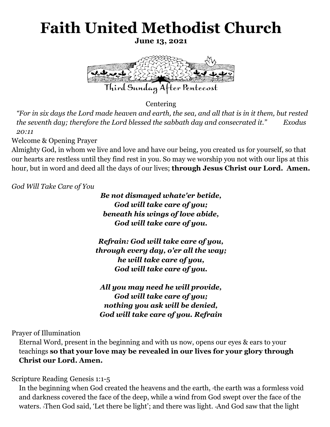## **Faith United Methodist Church**

**June 13, 2021**



Centering

*"For in six days the Lord made heaven and earth, the sea, and all that is in it them, but rested the seventh day; therefore the Lord blessed the sabbath day and consecrated it." Exodus 20:11*

Welcome & Opening Prayer

Almighty God, in whom we live and love and have our being, you created us for yourself, so that our hearts are restless until they find rest in you. So may we worship you not with our lips at this hour, but in word and deed all the days of our lives; **through Jesus Christ our Lord. Amen.**

*God Will Take Care of You*

*Be not dismayed whate'er betide, God will take care of you; beneath his wings of love abide, God will take care of you.*

*Refrain: God will take care of you, through every day, o'er all the way; he will take care of you, God will take care of you.*

*All you may need he will provide, God will take care of you; nothing you ask will be denied, God will take care of you. Refrain*

Prayer of Illumination

Eternal Word, present in the beginning and with us now, opens our eyes & ears to your teachings **so that your love may be revealed in our lives for your glory through Christ our Lord. Amen.**

Scripture Reading Genesis 1:1-5

In the beginning when God created the heavens and the earth, <sup>2</sup>the earth was a formless void and darkness covered the face of the deep, while a wind from God swept over the face of the waters. <sup>3</sup>Then God said, 'Let there be light'; and there was light. <sup>4</sup>And God saw that the light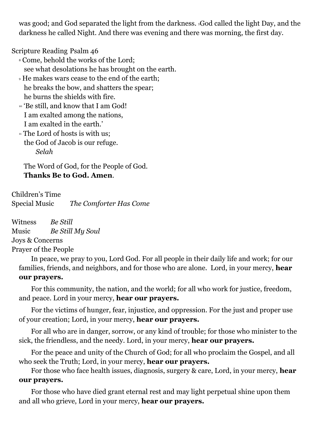was good; and God separated the light from the darkness. <sup>5</sup>God called the light Day, and the darkness he called Night. And there was evening and there was morning, the first day.

Scripture Reading Psalm 46

- <sup>8</sup> Come, behold the works of the Lord; see what desolations he has brought on the earth.
- <sup>9</sup> He makes wars cease to the end of the earth; he breaks the bow, and shatters the spear; he burns the shields with fire.
- <sup>10</sup> 'Be still, and know that I am God! I am exalted among the nations, I am exalted in the earth.'
- $\mathbb{I}$  The Lord of hosts is with us: the God of Jacob is our refuge. *Selah*

The Word of God, for the People of God. **Thanks Be to God. Amen**.

Children's Time Special Music *The Comforter Has Come*

Witness *Be Still* Music *Be Still My Soul*  Joys & Concerns Prayer of the People

In peace, we pray to you, Lord God. For all people in their daily life and work; for our families, friends, and neighbors, and for those who are alone. Lord, in your mercy, **hear our prayers.**

For this community, the nation, and the world; for all who work for justice, freedom, and peace. Lord in your mercy, **hear our prayers.**

For the victims of hunger, fear, injustice, and oppression. For the just and proper use of your creation; Lord, in your mercy, **hear our prayers.**

For all who are in danger, sorrow, or any kind of trouble; for those who minister to the sick, the friendless, and the needy. Lord, in your mercy, **hear our prayers.**

For the peace and unity of the Church of God; for all who proclaim the Gospel, and all who seek the Truth; Lord, in your mercy, **hear our prayers.**

For those who face health issues, diagnosis, surgery & care, Lord, in your mercy, **hear our prayers.**

For those who have died grant eternal rest and may light perpetual shine upon them and all who grieve, Lord in your mercy, **hear our prayers.**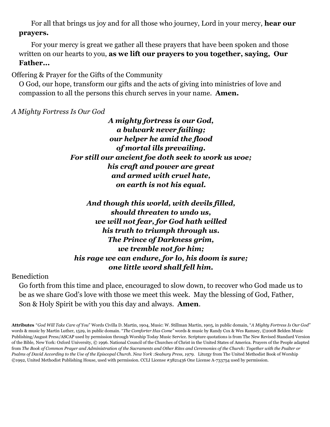For all that brings us joy and for all those who journey, Lord in your mercy, **hear our prayers.**

For your mercy is great we gather all these prayers that have been spoken and those written on our hearts to you, **as we lift our prayers to you together, saying, Our Father...**

Offering & Prayer for the Gifts of the Community

O God, our hope, transform our gifts and the acts of giving into ministries of love and compassion to all the persons this church serves in your name. **Amen.**

*A Mighty Fortress Is Our God*

*A mighty fortress is our God, a bulwark never failing; our helper he amid the flood of mortal ills prevailing. For still our ancient foe doth seek to work us woe; his craft and power are great and armed with cruel hate, on earth is not his equal.*

*And though this world, with devils filled, should threaten to undo us, we will not fear, for God hath willed his truth to triumph through us. The Prince of Darkness grim, we tremble not for him; his rage we can endure, for lo, his doom is sure; one little word shall fell him.*

Benediction

Go forth from this time and place, encouraged to slow down, to recover who God made us to be as we share God's love with those we meet this week. May the blessing of God, Father, Son & Holy Spirit be with you this day and always. **Amen**.

**Attributes** "*God Will Take Care of You*" Words Civilla D. Martin, 1904, Music: W. Stillman Martin, 1905, in public domain, "*A Mighty Fortress Is Our God"* words & music by Martin Luther, 1529, in public domain. "*The Comforter Has Come"* words & music by Randy Cox & Wes Ramsey, ©2008 Belden Music Publishing/August Press/ASCAP used by permission through Worship Today Music Service. Scripture quotations is from The New Revised Standard Version of the Bible, New York: Oxford University, © 1996. National Council of the Churches of Christ in the United States of America. Prayers of the People adapted from *The Book of Common Prayer and Administration of the Sacraments and Other Rites and Ceremonies of the Church: Together with the Psalter or Psalms of David According to the Use of the Episcopal Church. New York :Seabury Press, 1979.* Liturgy from The United Methodist Book of Worship ©1992, United Methodist Publishing House, used with permission. CCLI License #3821436 One License A-733754 used by permission.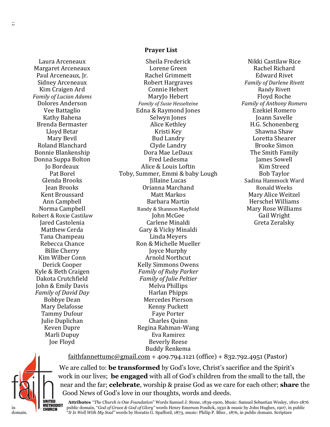Laura Arceneaux Margaret Arceneaux Paul Arceneaux, Jr. Sidney Arceneaux Kim Craigen Ard *Family of Lucian Adams* Dolores Anderson Vee Battaglio Kathy Bahena Brenda Bermaster Lloyd Betar Mary Bevil Roland Blanchard Bonnie Blankenship Donna Suppa Bolton Jo Bordeaux Pat Borel Glenda Brooks Jean Brooks Kent Broussard Ann Campbell Norma Campbell Robert & Roxie Castilaw Jared Castolenia Matthew Cerda Tana Champeau Rebecca Chance Billie Cherry Kim Wilber Conn Derick Cooper Kyle & Beth Craigen Dakota Crutchfield John & Emily Davis *Family of David Day* Bobbye Dean Mary Delafosse Tammy Dufour Julie Duplichan Keven Dupre Marli Dupuy Joe Floyd

## **Prayer List**

Sheila Frederick Lorene Green Rachel Grimmett Robert Hargraves Connie Hebert MaryJo Hebert *Family of Susie Hesselteine* Edna & Raymond Jones Selwyn Jones Alice Kethley Kristi Key Bud Landry Clyde Landry Dora Mae LeDaux Fred Ledesma Alice & Louis Loftin Toby, Summer, Emmi & baby Lough Jillaine Lucas Orianna Marchand Matt Markos Barbara Martin Randy & Shannon Mayfield John McGee Carlene Minaldi Gary & Vicky Minaldi Linda Meyers Ron & Michelle Mueller Joyce Murphy Arnold Northcut Kelly Simmons Owens *Family of Ruby Parker Family of Julie Peltier* Melva Phillips Harlan Phipps Mercedes Pierson Kenny Puckett Faye Porter Charles Quinn Regina Rahman-Wang Eva Ramirez Beverly Reese Buddy Renkema

Nikki Castilaw Rice Rachel Richard Edward Rivet *Family of Darlene Rivett* Randy Rivett Floyd Roche *Family of Anthony Romero* Ezekiel Romero Joann Savelle H.G. Schonenberg Shawna Shaw Loretta Shearer Brooke Simon The Smith Family James Sowell Kim Streed Bob Taylor Sadina Hammock Ward Ronald Weeks Mary Alice Weitzel Herschel Williams Mary Rose Williams Gail Wright Greta Zeralsky

[faithfannettumc@gmail.com](mailto:faithfannettumc@gmail.com) + 409.794.1121 (office) + 832.792.4951 (Pastor)



We are called to: **be transformed** by God's love, Christ's sacrifice and the Spirit's work in our lives; **be engaged** with all of God's children from the small to the tall, the near and the far; **celebrate**, worship & praise God as we care for each other; **share** the Good News of God's love in our thoughts, words and deeds.

**Attributes** "*The Church is One Foundation*" Words Samuel J. Stone, 1839-1900, Music: Samuel Sebastian Wesley, 1810-1876 in **Public domain, "***God of Grace & God of Glory***" words Henry Emerson Fosdick, 1930 & music by John Hughes, 1907, in public** domain. "*It Is Well With My Soul"* words by Horatio G. Spafford, 1873, music: Philip P. Bliss , 1876, in public domain. Scripture